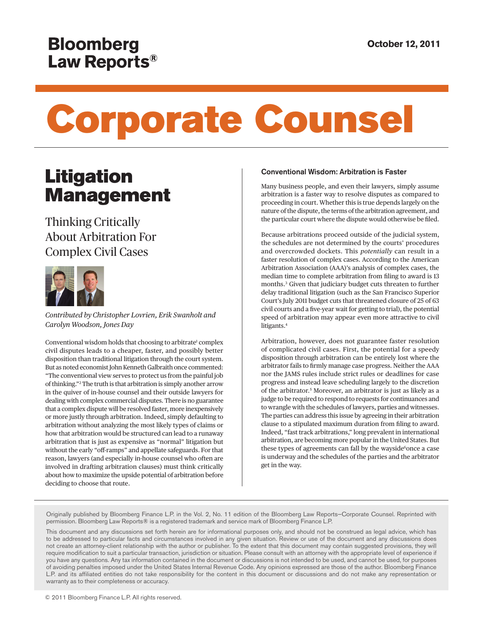## **Bloomberg** Law Reports®

# Corporate Counsel

## **Litigation** Management

### Thinking Critically About Arbitration For Complex Civil Cases



*Contributed by Christopher Lovrien, Erik Swanholt and Carolyn Woodson, Jones Day*

<span id="page-0-1"></span><span id="page-0-0"></span>Conventional wisdom holds that choosing to arbitrate<sup>[1](#page-2-0)</sup> complex civil disputes leads to a cheaper, faster, and possibly better disposition than traditional litigation through the court system. But as noted economist John Kenneth Galbraith once commented: "The conventional view serves to protect us from the painful job of thinking.["2](#page-2-1) The truth is that arbitration is simply another arrow in the quiver of in-house counsel and their outside lawyers for dealing with complex commercial disputes. There is no guarantee that a complex dispute will be resolved faster, more inexpensively or more justly through arbitration. Indeed, simply defaulting to arbitration without analyzing the most likely types of claims or how that arbitration would be structured can lead to a runaway arbitration that is just as expensive as "normal" litigation but without the early "off-ramps" and appellate safeguards. For that reason, lawyers (and especially in-house counsel who often are involved in drafting arbitration clauses) must think critically about how to maximize the upside potential of arbitration before deciding to choose that route.

#### Conventional Wisdom: Arbitration is Faster

Many business people, and even their lawyers, simply assume arbitration is a faster way to resolve disputes as compared to proceeding in court. Whether this is true depends largely on the nature of the dispute, the terms of the arbitration agreement, and the particular court where the dispute would otherwise be filed.

<span id="page-0-2"></span>Because arbitrations proceed outside of the judicial system, the schedules are not determined by the courts' procedures and overcrowded dockets. This *potentially* can result in a faster resolution of complex cases. According to the American Arbitration Association (AAA)'s analysis of complex cases, the median time to complete arbitration from filing to award is 13 months.[3](#page-2-2) Given that judiciary budget cuts threaten to further delay traditional litigation (such as the San Francisco Superior Court's July 2011 budget cuts that threatened closure of 25 of 63 civil courts and a five-year wait for getting to trial), the potential speed of arbitration may appear even more attractive to civil litigants[.4](#page-2-3)

<span id="page-0-5"></span><span id="page-0-4"></span><span id="page-0-3"></span>Arbitration, however, does not guarantee faster resolution of complicated civil cases. First, the potential for a speedy disposition through arbitration can be entirely lost where the arbitrator fails to firmly manage case progress. Neither the AAA nor the JAMS rules include strict rules or deadlines for case progress and instead leave scheduling largely to the discretion of the arbitrator.[5](#page-2-4) Moreover, an arbitrator is just as likely as a judge to be required to respond to requests for continuances and to wrangle with the schedules of lawyers, parties and witnesses. The parties can address this issue by agreeing in their arbitration clause to a stipulated maximum duration from filing to award. Indeed, "fast track arbitrations," long prevalent in international arbitration, are becoming more popular in the United States. But these types of agreements can fall by the wayside<sup>6</sup>once a case is underway and the schedules of the parties and the arbitrator get in the way.

Originally published by Bloomberg Finance L.P. in the Vol. 2, No. 11 edition of the Bloomberg Law Reports—Corporate Counsel. Reprinted with permission. Bloomberg Law Reports® is a registered trademark and service mark of Bloomberg Finance L.P.

This document and any discussions set forth herein are for informational purposes only, and should not be construed as legal advice, which has to be addressed to particular facts and circumstances involved in any given situation. Review or use of the document and any discussions does not create an attorney‐client relationship with the author or publisher. To the extent that this document may contain suggested provisions, they will require modification to suit a particular transaction, jurisdiction or situation. Please consult with an attorney with the appropriate level of experience if you have any questions. Any tax information contained in the document or discussions is not intended to be used, and cannot be used, for purposes of avoiding penalties imposed under the United States Internal Revenue Code. Any opinions expressed are those of the author. Bloomberg Finance L.P. and its affiliated entities do not take responsibility for the content in this document or discussions and do not make any representation or warranty as to their completeness or accuracy.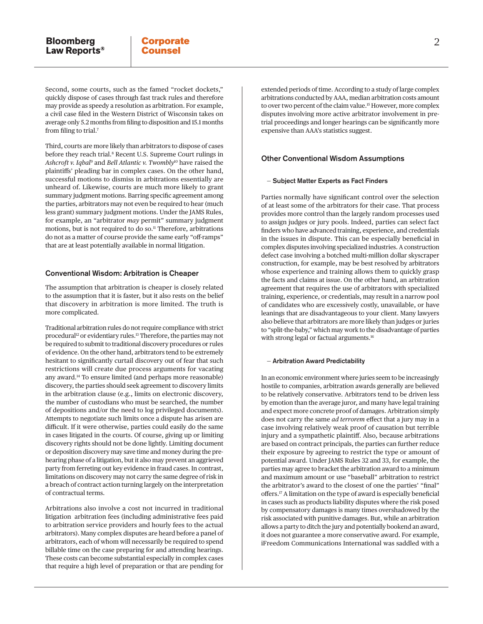Second, some courts, such as the famed "rocket dockets," quickly dispose of cases through fast track rules and therefore may provide as speedy a resolution as arbitration. For example, a civil case filed in the Western District of Wisconsin takes on average only 5.2 months from filing to disposition and 15.1 months from filing to trial[.7](#page-2-6)

<span id="page-1-2"></span><span id="page-1-1"></span><span id="page-1-0"></span>Third, courts are more likely than arbitrators to dispose of cases before they reach trial.<sup>[8](#page-2-7)</sup> Recent U.S. Supreme Court rulings in *Ashcroft v. Iqbal*[9](#page-2-8) and *Bell Atlantic v. Twombly*[10](#page-2-9) have raised the plaintiffs' pleading bar in complex cases. On the other hand, successful motions to dismiss in arbitrations essentially are unheard of. Likewise, courts are much more likely to grant summary judgment motions. Barring specific agreement among the parties, arbitrators may not even be required to hear (much less grant) summary judgment motions. Under the JAMS Rules, for example, an "arbitrator *may* permit" summary judgment motions, but is not required to do so.<sup>11</sup> Therefore, arbitrations do not as a matter of course provide the same early "off-ramps" that are at least potentially available in normal litigation.

#### <span id="page-1-4"></span>Conventional Wisdom: Arbitration is Cheaper

The assumption that arbitration is cheaper is closely related to the assumption that it is faster, but it also rests on the belief that discovery in arbitration is more limited. The truth is more complicated.

<span id="page-1-7"></span><span id="page-1-6"></span><span id="page-1-5"></span>Traditional arbitration rules do not require compliance with strict procedural<sup>12</sup> or evidentiary rules.<sup>13</sup> Therefore, the parties may not be required to submit to traditional discovery procedures or rules of evidence. On the other hand, arbitrators tend to be extremely hesitant to significantly curtail discovery out of fear that such restrictions will create due process arguments for vacating any award[.14](#page-3-2) To ensure limited (and perhaps more reasonable) discovery, the parties should seek agreement to discovery limits in the arbitration clause (e.g., limits on electronic discovery, the number of custodians who must be searched, the number of depositions and/or the need to log privileged documents). Attempts to negotiate such limits once a dispute has arisen are difficult. If it were otherwise, parties could easily do the same in cases litigated in the courts. Of course, giving up or limiting discovery rights should not be done lightly. Limiting document or deposition discovery may save time and money during the prehearing phase of a litigation, but it also may prevent an aggrieved party from ferreting out key evidence in fraud cases. In contrast, limitations on discovery may not carry the same degree of risk in a breach of contract action turning largely on the interpretation of contractual terms.

Arbitrations also involve a cost not incurred in traditional litigation arbitration fees (including administrative fees paid to arbitration service providers and hourly fees to the actual arbitrators). Many complex disputes are heard before a panel of arbitrators, each of whom will necessarily be required to spend billable time on the case preparing for and attending hearings. These costs can become substantial especially in complex cases that require a high level of preparation or that are pending for

<span id="page-1-8"></span>extended periods of time. According to a study of large complex arbitrations conducted by AAA, median arbitration costs amount to over two percent of the claim value[.15](#page-3-3) However, more complex disputes involving more active arbitrator involvement in pretrial proceedings and longer hearings can be significantly more expensive than AAA's statistics suggest.

#### <span id="page-1-3"></span>Other Conventional Wisdom Assumptions

#### — Subject Matter Experts as Fact Finders

Parties normally have significant control over the selection of at least some of the arbitrators for their case. That process provides more control than the largely random processes used to assign judges or jury pools. Indeed, parties can select fact finders who have advanced training, experience, and credentials in the issues in dispute. This can be especially beneficial in complex disputes involving specialized industries. A construction defect case involving a botched multi-million dollar skyscraper construction, for example, may be best resolved by arbitrators whose experience and training allows them to quickly grasp the facts and claims at issue. On the other hand, an arbitration agreement that requires the use of arbitrators with specialized training, experience, or credentials, may result in a narrow pool of candidates who are excessively costly, unavailable, or have leanings that are disadvantageous to your client. Many lawyers also believe that arbitrators are more likely than judges or juries to "split-the-baby," which may work to the disadvantage of parties with strong legal or factual arguments.<sup>16</sup>

#### <span id="page-1-9"></span>— Arbitration Award Predictability

<span id="page-1-10"></span>In an economic environment where juries seem to be increasingly hostile to companies, arbitration awards generally are believed to be relatively conservative. Arbitrators tend to be driven less by emotion than the average juror, and many have legal training and expect more concrete proof of damages. Arbitration simply does not carry the same *ad terrorem* effect that a jury may in a case involving relatively weak proof of causation but terrible injury and a sympathetic plaintiff. Also, because arbitrations are based on contract principals, the parties can further reduce their exposure by agreeing to restrict the type or amount of potential award. Under JAMS Rules 32 and 33, for example, the parties may agree to bracket the arbitration award to a minimum and maximum amount or use "baseball" arbitration to restrict the arbitrator's award to the closest of one the parties' "final" offers.[17](#page-3-5) A limitation on the type of award is especially beneficial in cases such as products liability disputes where the risk posed by compensatory damages is many times overshadowed by the risk associated with punitive damages. But, while an arbitration allows a party to ditch the jury and potentially bookend an award, it does not guarantee a more conservative award. For example, iFreedom Communications International was saddled with a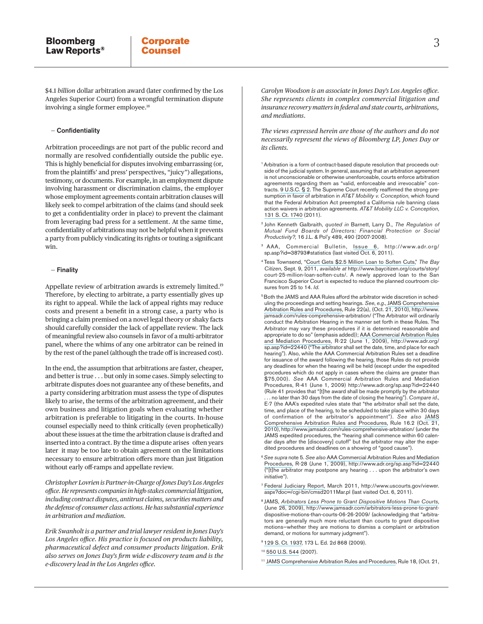<span id="page-2-11"></span>\$4.1 *billion* dollar arbitration award (later confirmed by the Los Angeles Superior Court) from a wrongful termination dispute involving a single former employee.[18](#page-3-6)

#### — Confidentiality

Arbitration proceedings are not part of the public record and normally are resolved confidentially outside the public eye. This is highly beneficial for disputes involving embarrassing (or, from the plaintiffs' and press' perspectives, "juicy") allegations, testimony, or documents. For example, in an employment dispute involving harassment or discrimination claims, the employer whose employment agreements contain arbitration clauses will likely seek to compel arbitration of the claims (and should seek to get a confidentiality order in place) to prevent the claimant from leveraging bad press for a settlement. At the same time, confidentiality of arbitrations may not be helpful when it prevents a party from publicly vindicating its rights or touting a significant win.

#### — Finality

<span id="page-2-12"></span>Appellate review of arbitration awards is extremely limited.<sup>[19](#page-3-7)</sup> Therefore, by electing to arbitrate, a party essentially gives up its right to appeal. While the lack of appeal rights may reduce costs and present a benefit in a strong case, a party who is bringing a claim premised on a novel legal theory or shaky facts should carefully consider the lack of appellate review. The lack of meaningful review also counsels in favor of a multi-arbitrator panel, where the whims of any one arbitrator can be reined in by the rest of the panel (although the trade off is increased cost).

In the end, the assumption that arbitrations are faster, cheaper, and better is true . . . but only in some cases. Simply selecting to arbitrate disputes does not guarantee any of these benefits, and a party considering arbitration must assess the type of disputes likely to arise, the terms of the arbitration agreement, and their own business and litigation goals when evaluating whether arbitration is preferable to litigating in the courts. In-house counsel especially need to think critically (even prophetically) about these issues at the time the arbitration clause is drafted and inserted into a contract. By the time a dispute arises―often years later it may be too late to obtain agreement on the limitations necessary to ensure arbitration offers more than just litigation without early off-ramps and appellate review.

*Christopher Lovrien is Partner-in-Charge of Jones Day's Los Angeles office. He represents companies in high-stakes commercial litigation, including contract disputes, antitrust claims, securities matters and the defense of consumer class actions. He has substantial experience in arbitration and mediation.*

*Erik Swanholt is a partner and trial lawyer resident in Jones Day's Los Angeles office. His practice is focused on products liability, pharmaceutical defect and consumer products litigation. Erik also serves on Jones Day's firm wide e-discovery team and is the e-discovery lead in the Los Angeles office.*

*Carolyn Woodson is an associate in Jones Day's Los Angeles office. She represents clients in complex commercial litigation and insurance recovery matters in federal and state courts, arbitrations, and mediations*.

*The views expressed herein are those of the authors and do not necessarily represent the views of Bloomberg LP, Jones Day or its clients.*

<span id="page-2-0"></span><sup>[1](#page-0-0)</sup> Arbitration is a form of contract-based dispute resolution that proceeds outside of the judicial system. In general, assuming that an arbitration agreement is not unconscionable or otherwise unenforceable, courts enforce arbitration agreements regarding them as "valid, enforceable and irrevocable" contracts. [9 U.S.C. § 2.](http://www.bloomberglaw.com/document/1?citation=9 U.S.C. 2&summary=yes#jcite) The Supreme Court recently reaffirmed the strong presumption in favor of arbitration in *AT&T Mobility v. Conception*, which found that the Federal Arbitration Act preempted a California rule banning class action waivers in arbitration agreements. *AT&T Mobility LLC v. Conception*, [131 S. Ct. 1740](http://www.bloomberglaw.com/document/1?citation=131 S. Ct. 1740&summary=yes#jcite) (2011).

<span id="page-2-1"></span>[2](#page-0-1) John Kenneth Galbraith, *quoted in* Barnett, Larry D., *The Regulation of Mutual Fund Boards of Directors: Financial Protection or Social Productivity?,* 16 J.L. & Pol'y 489, 490 (2007-2008).

- <span id="page-2-2"></span>[3](#page-0-2) AAA, Commercial Bulletin, [Issue 6,](http://www.adr.org/sp.asp?id=38793) http://www.adr.org/ sp.asp?id=38793#statistics (last visited Oct. 6, 2011).
- <span id="page-2-3"></span>[4](#page-0-3) Tess Townsend, ["Court Gets \\$2.5 Million Loan to Soften Cuts,](http://www.baycitizen.org/courts/story/court-25-million-loan-soften-cuts/)" *The Bay Citizen*, Sept. 9, 2011, *available at* http://www.baycitizen.org/courts/story/ court-25-million-loan-soften-cuts/. A newly approved loan to the San Francisco Superior Court is expected to reduce the planned courtroom closures from 25 to 14. *Id*.
- <span id="page-2-4"></span><sup>[5](#page-0-4)</sup> Both the JAMS and AAA Rules afford the arbitrator wide discretion in scheduling the proceedings and setting hearings. *See*, *e.g*., [JAMS Comprehensive](http://www.jamsadr.com/rules-comprehensive-arbitration/) [Arbitration Rules and Procedures,](http://www.jamsadr.com/rules-comprehensive-arbitration/) Rule 22(a), (Oct. 21, 2010), http://www. jamsadr.com/rules-comprehensive-arbitration/ ("The Arbitrator will ordinarily conduct the Arbitration Hearing in the manner set forth in these Rules. The Arbitrator may vary these procedures if it is determined reasonable and appropriate to do so" (emphasis added)); [AAA Commercial Arbitration Rules](http://www.adr.org/sp.asp?id=22440)  [and Mediation Procedures,](http://www.adr.org/sp.asp?id=22440) R-22 (June 1, 2009), http://www.adr.org/ sp.asp?id=22440 ("The arbitrator shall set the date, time, and place for each hearing"). Also, while the AAA Commercial Arbitration Rules set a deadline for issuance of the award following the hearing, those Rules do not provide any deadlines for when the hearing will be held (except under the expedited procedures which do not apply in cases where the claims are greater than \$75,000). *See* AAA Commercial Arbitration Rules and Mediation Procedures, R-41 (June 1, 2009) http://www.adr.org/sp.asp?id=22440 (Rule 41 provides that "[t]he award shall be made promptly by the arbitrator . no later than 30 days from the date of closing the hearing"). Compare id., E-7 (the AAA's expedited rules state that "the arbitrator shall set the date, time, and place of the hearing, to be scheduled to take place within 30 days of confirmation of the arbitrator's appointment"). *See also* [JAMS](http://www.jamsadr.com/rules-comprehensive-arbitration/) [Comprehensive Arbitration Rules and Procedures](http://www.jamsadr.com/rules-comprehensive-arbitration/), Rule 16.2 (Oct. 21, 2010), http://www.jamsadr.com/rules-comprehensive-arbitration/ (under the JAMS expedited procedures, the "hearing shall commence within 60 calendar days after the [discovery] cutoff" but the arbitrator may alter the expedited procedures and deadlines on a showing of "good cause").
- <span id="page-2-5"></span>[6](#page-0-5)*See supra* note 5. *See also* [AAA Commercial Arbitration Rules and Mediation](http://www.adr.org/sp.asp?id=22440) [Procedures](http://www.adr.org/sp.asp?id=22440), R-28 (June 1, 2009), http://www.adr.org/sp.asp?id=22440 ("[t]he arbitrator may postpone any hearing . . . upon the arbitrator's own initiative").
- <span id="page-2-6"></span>[7](#page-1-0) [Federal Judiciary Report,](http://www.uscourts.gov/viewer.aspx?doc=/cgi-bin/cmsd2011Mar.pl) March 2011, http://www.uscourts.gov/viewer. aspx?doc=/cgi-bin/cmsd2011Mar.pl (last visited Oct. 6, 2011).
- <span id="page-2-7"></span>[8](#page-1-1) JAMS, *[Arbitrators Less Prone to Grant Dispositive Motions Than Courts](http://www.jamsadr.com/arbitrators-less-prone-to-grant-dispositive-motions-than-courts-06-26-2009/)*, (June 26, 2009), http://www.jamsadr.com/arbitrators-less-prone-to-grantdispositive-motions-than-courts-06-26-2009/ (acknowledging that "arbitrators are generally much more reluctant than courts to grant dispositive motions—whether they are motions to dismiss a complaint or arbitration demand, or motions for summary judgment").
- <span id="page-2-8"></span>[9](#page-1-2) [129 S. Ct. 1937](http://www.bloomberglaw.com/document/1?citation=129 S. Ct. 1937&summary=yes#jcite), 173 L. Ed. 2d 868 (2009).

<span id="page-2-10"></span>[11](#page-1-4) [JAMS Comprehensive Arbitration Rules and Procedures,](http://www.jamsadr.com/rules-comprehensive-arbitration/) Rule 18, (Oct. 21,

<span id="page-2-9"></span>[<sup>10</sup>](#page-1-3) [550 U.S. 544](http://www.bloomberglaw.com/document/1?citation=550 U.S. 544&summary=yes#jcite) (2007).